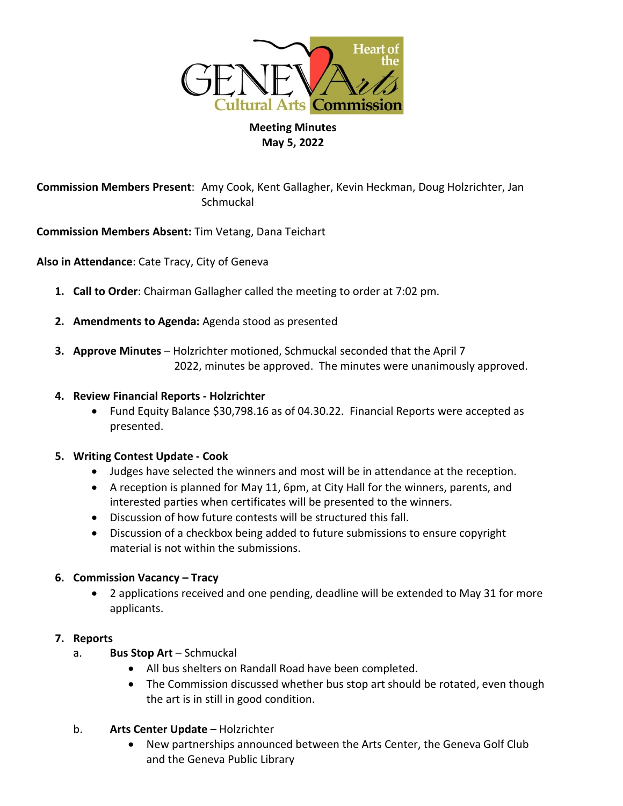

# **Meeting Minutes May 5, 2022**

**Commission Members Present**: Amy Cook, Kent Gallagher, Kevin Heckman, Doug Holzrichter, Jan **Schmuckal** 

**Commission Members Absent:** Tim Vetang, Dana Teichart

**Also in Attendance**: Cate Tracy, City of Geneva

- **1. Call to Order**: Chairman Gallagher called the meeting to order at 7:02 pm.
- **2. Amendments to Agenda:** Agenda stood as presented
- **3. Approve Minutes** Holzrichter motioned, Schmuckal seconded that the April 7 2022, minutes be approved. The minutes were unanimously approved.
- **4. Review Financial Reports - Holzrichter**
	- Fund Equity Balance \$30,798.16 as of 04.30.22. Financial Reports were accepted as presented.

### **5. Writing Contest Update - Cook**

- Judges have selected the winners and most will be in attendance at the reception.
- A reception is planned for May 11, 6pm, at City Hall for the winners, parents, and interested parties when certificates will be presented to the winners.
- Discussion of how future contests will be structured this fall.
- Discussion of a checkbox being added to future submissions to ensure copyright material is not within the submissions.

### **6. Commission Vacancy – Tracy**

• 2 applications received and one pending, deadline will be extended to May 31 for more applicants.

### **7. Reports**

- a. **Bus Stop Art** Schmuckal
	- All bus shelters on Randall Road have been completed.
	- The Commission discussed whether bus stop art should be rotated, even though the art is in still in good condition.
- b. **Arts Center Update** Holzrichter
	- New partnerships announced between the Arts Center, the Geneva Golf Club and the Geneva Public Library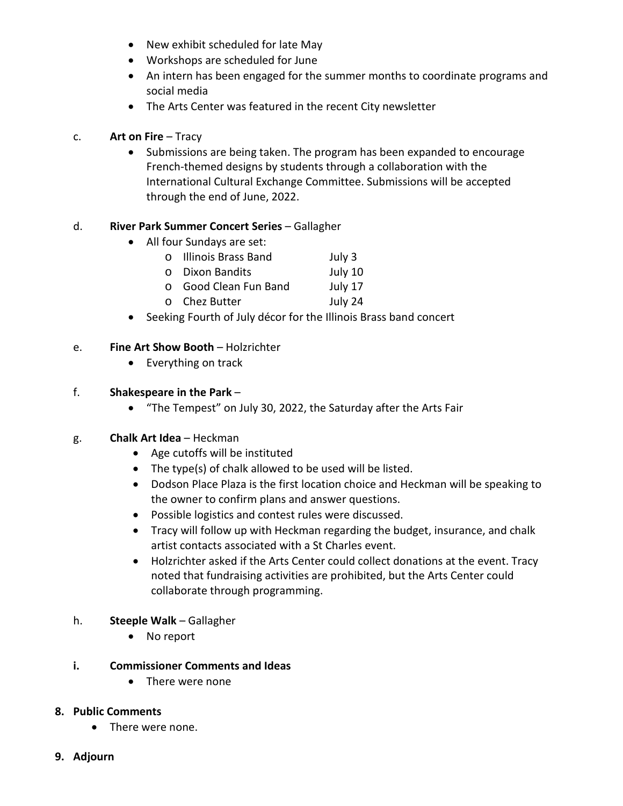- New exhibit scheduled for late May
- Workshops are scheduled for June
- An intern has been engaged for the summer months to coordinate programs and social media
- The Arts Center was featured in the recent City newsletter

# c. **Art on Fire** – Tracy

• Submissions are being taken. The program has been expanded to encourage French-themed designs by students through a collaboration with the International Cultural Exchange Committee. Submissions will be accepted through the end of June, 2022.

# d. **River Park Summer Concert Series** – Gallagher

- All four Sundays are set:
	- o Illinois Brass Band July 3
	- o Dixon Bandits July 10
	- o Good Clean Fun Band July 17<br>
	o Chez Butter July 24
	- o Chez Butter
- Seeking Fourth of July décor for the Illinois Brass band concert

### e. **Fine Art Show Booth** – Holzrichter

• Everything on track

### f. **Shakespeare in the Park** –

• "The Tempest" on July 30, 2022, the Saturday after the Arts Fair

### g. **Chalk Art Idea** – Heckman

- Age cutoffs will be instituted
- The type(s) of chalk allowed to be used will be listed.
- Dodson Place Plaza is the first location choice and Heckman will be speaking to the owner to confirm plans and answer questions.
- Possible logistics and contest rules were discussed.
- Tracy will follow up with Heckman regarding the budget, insurance, and chalk artist contacts associated with a St Charles event.
- Holzrichter asked if the Arts Center could collect donations at the event. Tracy noted that fundraising activities are prohibited, but the Arts Center could collaborate through programming.

### h. **Steeple Walk** – Gallagher

• No report

### **i. Commissioner Comments and Ideas**

• There were none

### **8. Public Comments**

- There were none.
- **9. Adjourn**